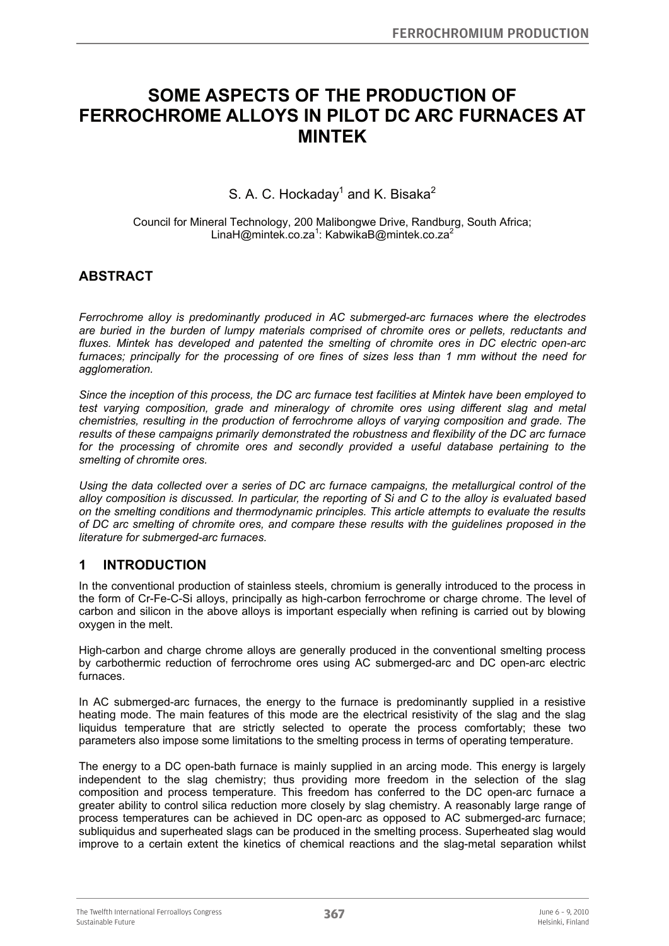# **SOME ASPECTS OF THE PRODUCTION OF FERROCHROME ALLOYS IN PILOT DC ARC FURNACES AT MINTEK**

S. A. C. Hockaday<sup>1</sup> and K. Bisaka<sup>2</sup>

Council for Mineral Technology, 200 Malibongwe Drive, Randburg, South Africa; LinaH@mintek.co.za<sup>1</sup>: KabwikaB@mintek.co.za<sup>2</sup>

# **ABSTRACT**

*Ferrochrome alloy is predominantly produced in AC submerged-arc furnaces where the electrodes are buried in the burden of lumpy materials comprised of chromite ores or pellets, reductants and fluxes. Mintek has developed and patented the smelting of chromite ores in DC electric open-arc furnaces; principally for the processing of ore fines of sizes less than 1 mm without the need for agglomeration.* 

*Since the inception of this process, the DC arc furnace test facilities at Mintek have been employed to test varying composition, grade and mineralogy of chromite ores using different slag and metal chemistries, resulting in the production of ferrochrome alloys of varying composition and grade. The results of these campaigns primarily demonstrated the robustness and flexibility of the DC arc furnace for the processing of chromite ores and secondly provided a useful database pertaining to the smelting of chromite ores.* 

*Using the data collected over a series of DC arc furnace campaigns, the metallurgical control of the alloy composition is discussed. In particular, the reporting of Si and C to the alloy is evaluated based on the smelting conditions and thermodynamic principles. This article attempts to evaluate the results of DC arc smelting of chromite ores, and compare these results with the guidelines proposed in the literature for submerged-arc furnaces.* 

# **1 INTRODUCTION**

In the conventional production of stainless steels, chromium is generally introduced to the process in the form of Cr-Fe-C-Si alloys, principally as high-carbon ferrochrome or charge chrome. The level of carbon and silicon in the above alloys is important especially when refining is carried out by blowing oxygen in the melt.

High-carbon and charge chrome alloys are generally produced in the conventional smelting process by carbothermic reduction of ferrochrome ores using AC submerged-arc and DC open-arc electric furnaces.

In AC submerged-arc furnaces, the energy to the furnace is predominantly supplied in a resistive heating mode. The main features of this mode are the electrical resistivity of the slag and the slag liquidus temperature that are strictly selected to operate the process comfortably; these two parameters also impose some limitations to the smelting process in terms of operating temperature.

The energy to a DC open-bath furnace is mainly supplied in an arcing mode. This energy is largely independent to the slag chemistry; thus providing more freedom in the selection of the slag composition and process temperature. This freedom has conferred to the DC open-arc furnace a greater ability to control silica reduction more closely by slag chemistry. A reasonably large range of process temperatures can be achieved in DC open-arc as opposed to AC submerged-arc furnace; subliquidus and superheated slags can be produced in the smelting process. Superheated slag would improve to a certain extent the kinetics of chemical reactions and the slag-metal separation whilst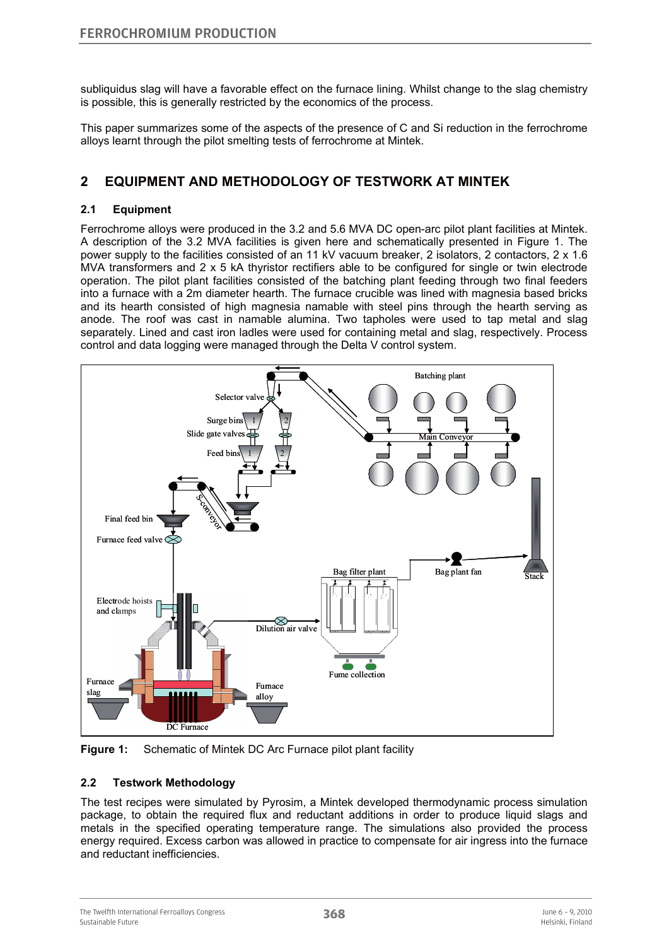subliquidus slag will have a favorable effect on the furnace lining. Whilst change to the slag chemistry is possible, this is generally restricted by the economics of the process.

This paper summarizes some of the aspects of the presence of C and Si reduction in the ferrochrome alloys learnt through the pilot smelting tests of ferrochrome at Mintek.

### **2 EQUIPMENT AND METHODOLOGY OF TESTWORK AT MINTEK**

#### **2.1 Equipment**

Ferrochrome alloys were produced in the 3.2 and 5.6 MVA DC open-arc pilot plant facilities at Mintek. A description of the 3.2 MVA facilities is given here and schematically presented in Figure 1. The power supply to the facilities consisted of an 11 kV vacuum breaker, 2 isolators, 2 contactors, 2 x 1.6 MVA transformers and 2 x 5 kA thyristor rectifiers able to be configured for single or twin electrode operation. The pilot plant facilities consisted of the batching plant feeding through two final feeders into a furnace with a 2m diameter hearth. The furnace crucible was lined with magnesia based bricks and its hearth consisted of high magnesia namable with steel pins through the hearth serving as anode. The roof was cast in namable alumina. Two tapholes were used to tap metal and slag separately. Lined and cast iron ladles were used for containing metal and slag, respectively. Process control and data logging were managed through the Delta V control system.



**Figure 1:** Schematic of Mintek DC Arc Furnace pilot plant facility

#### **2.2 Testwork Methodology**

The test recipes were simulated by Pyrosim, a Mintek developed thermodynamic process simulation package, to obtain the required flux and reductant additions in order to produce liquid slags and metals in the specified operating temperature range. The simulations also provided the process energy required. Excess carbon was allowed in practice to compensate for air ingress into the furnace and reductant inefficiencies.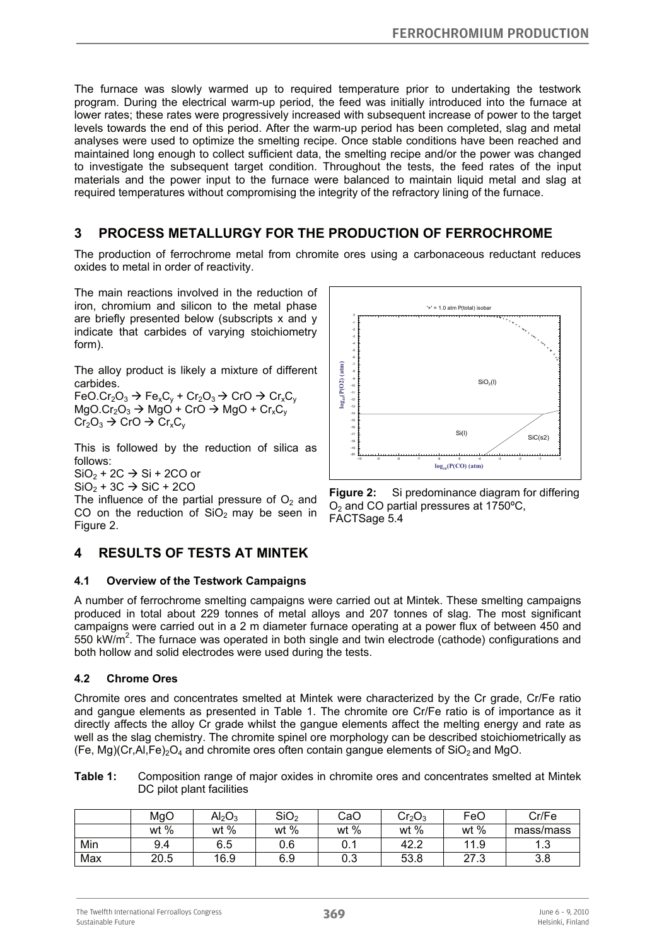The furnace was slowly warmed up to required temperature prior to undertaking the testwork program. During the electrical warm-up period, the feed was initially introduced into the furnace at lower rates; these rates were progressively increased with subsequent increase of power to the target levels towards the end of this period. After the warm-up period has been completed, slag and metal analyses were used to optimize the smelting recipe. Once stable conditions have been reached and maintained long enough to collect sufficient data, the smelting recipe and/or the power was changed to investigate the subsequent target condition. Throughout the tests, the feed rates of the input materials and the power input to the furnace were balanced to maintain liquid metal and slag at required temperatures without compromising the integrity of the refractory lining of the furnace.

### **3 PROCESS METALLURGY FOR THE PRODUCTION OF FERROCHROME**

The production of ferrochrome metal from chromite ores using a carbonaceous reductant reduces oxides to metal in order of reactivity.

The main reactions involved in the reduction of iron, chromium and silicon to the metal phase are briefly presented below (subscripts x and y indicate that carbides of varying stoichiometry form).

The alloy product is likely a mixture of different carbides.

 $FeO.Cr<sub>2</sub>O<sub>3</sub> \rightarrow Fe<sub>x</sub>C<sub>y</sub> + Cr<sub>2</sub>O<sub>3</sub> \rightarrow Cr<sub>0</sub>C<sub>y</sub>$  $MqO.Cr<sub>2</sub>O<sub>3</sub> \rightarrow MqO' + CrO \rightarrow MqO + Cr<sub>x</sub>C<sub>y</sub>$  $Cr_2O_3 \rightarrow CrO \rightarrow Cr_xC_y$ 

This is followed by the reduction of silica as follows:

 $SiO<sub>2</sub> + 2C \rightarrow Si + 2CO$  or

 $SiO<sub>2</sub> + 3C \rightarrow SiC + 2CO$ 

The influence of the partial pressure of  $O<sub>2</sub>$  and CO on the reduction of  $SiO<sub>2</sub>$  may be seen in Figure 2.

# **4 RESULTS OF TESTS AT MINTEK**

#### **4.1 Overview of the Testwork Campaigns**

A number of ferrochrome smelting campaigns were carried out at Mintek. These smelting campaigns produced in total about 229 tonnes of metal alloys and 207 tonnes of slag. The most significant campaigns were carried out in a 2 m diameter furnace operating at a power flux of between 450 and 550 kW/m<sup>2</sup>. The furnace was operated in both single and twin electrode (cathode) configurations and both hollow and solid electrodes were used during the tests.

#### **4.2 Chrome Ores**

Chromite ores and concentrates smelted at Mintek were characterized by the Cr grade, Cr/Fe ratio and gangue elements as presented in Table 1. The chromite ore Cr/Fe ratio is of importance as it directly affects the alloy Cr grade whilst the gangue elements affect the melting energy and rate as well as the slag chemistry. The chromite spinel ore morphology can be described stoichiometrically as (Fe, Mg)(Cr,Al,Fe)<sub>2</sub>O<sub>4</sub> and chromite ores often contain gangue elements of SiO<sub>2</sub> and MgO.

**Table 1:** Composition range of major oxides in chromite ores and concentrates smelted at Mintek DC pilot plant facilities

|     | MgO    | $\mathsf{Al}_2\mathsf{O}_3$ | SiO <sub>2</sub> | CaO  | Cr <sub>2</sub> O <sub>3</sub> | FeO  | Cr/Fe     |
|-----|--------|-----------------------------|------------------|------|--------------------------------|------|-----------|
|     | wt $%$ | wt $%$                      | wt $%$           | wt % | wt $%$                         | wt % | mass/mass |
| Min | 9.4    | 6.5                         | 0.6              |      | 42.2                           | 11.9 | ں. ا      |
| Max | 20.5   | 16.9                        | 6.9              | 0.3  | 53.8                           | 27.3 | 3.8       |



**Figure 2:** Si predominance diagram for differing  $O<sub>2</sub>$  and CO partial pressures at 1750 $^{\circ}$ C, FACTSage 5.4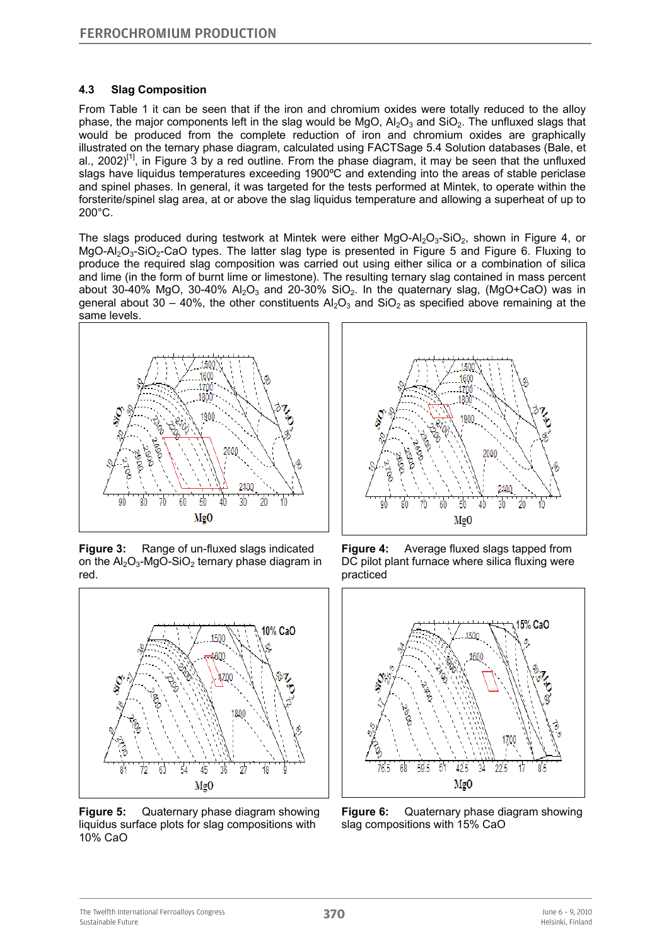### **4.3 Slag Composition**

From Table 1 it can be seen that if the iron and chromium oxides were totally reduced to the alloy phase, the major components left in the slag would be MgO,  $Al_2O_3$  and SiO<sub>2</sub>. The unfluxed slags that would be produced from the complete reduction of iron and chromium oxides are graphically illustrated on the ternary phase diagram, calculated using FACTSage 5.4 Solution databases (Bale, et al., 2002)<sup>[1]</sup>, in Figure 3 by a red outline. From the phase diagram, it may be seen that the unfluxed slags have liquidus temperatures exceeding 1900°C and extending into the areas of stable periclase and spinel phases. In general, it was targeted for the tests performed at Mintek, to operate within the forsterite/spinel slag area, at or above the slag liquidus temperature and allowing a superheat of up to 200°C.

The slags produced during testwork at Mintek were either  $MgO-AI_2O_3-SiO_2$ , shown in Figure 4, or  $MgO-Al<sub>2</sub>O<sub>3</sub>-SiO<sub>2</sub>-CaO$  types. The latter slag type is presented in Figure 5 and Figure 6. Fluxing to produce the required slag composition was carried out using either silica or a combination of silica and lime (in the form of burnt lime or limestone). The resulting ternary slag contained in mass percent about 30-40% MgO, 30-40%  $A<sub>2</sub>O<sub>3</sub>$  and 20-30% SiO<sub>2</sub>. In the quaternary slag, (MgO+CaO) was in general about 30 – 40%, the other constituents  $A<sub>2</sub>O<sub>3</sub>$  and SiO<sub>2</sub> as specified above remaining at the same levels.



**Figure 3:** Range of un-fluxed slags indicated on the  $Al_2O_3$ -MgO-SiO<sub>2</sub> ternary phase diagram in red.



**Figure 5:** Quaternary phase diagram showing liquidus surface plots for slag compositions with 10% CaO



**Figure 4:** Average fluxed slags tapped from DC pilot plant furnace where silica fluxing were practiced



**Figure 6:** Quaternary phase diagram showing slag compositions with 15% CaO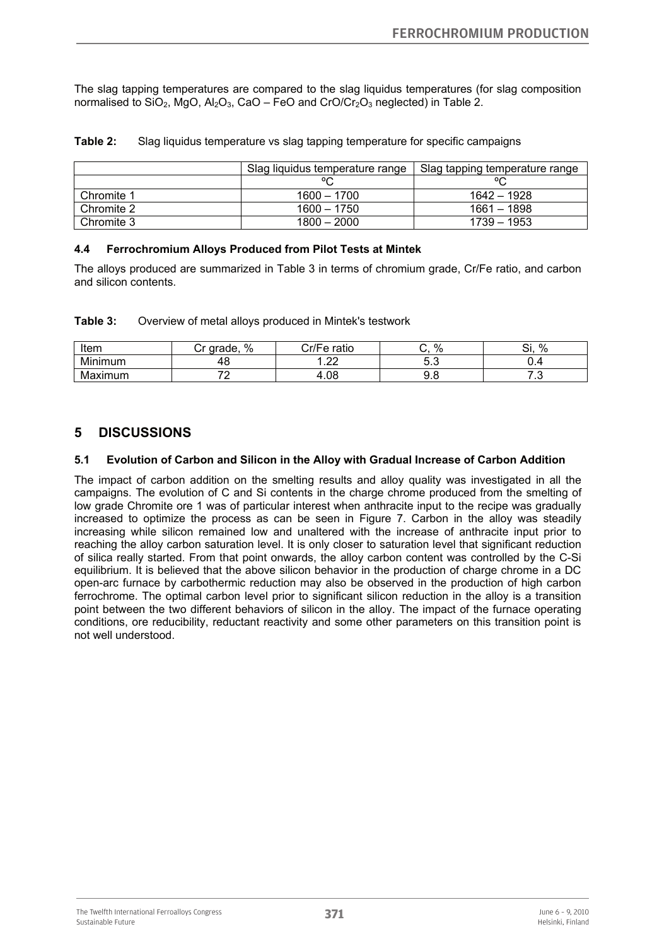The slag tapping temperatures are compared to the slag liquidus temperatures (for slag composition normalised to SiO<sub>2</sub>, MgO, Al<sub>2</sub>O<sub>3</sub>, CaO – FeO and CrO/Cr<sub>2</sub>O<sub>3</sub> neglected) in Table 2.

|            | Slag liquidus temperature range | Slag tapping temperature range |  |  |
|------------|---------------------------------|--------------------------------|--|--|
|            | $\circ$                         |                                |  |  |
| Chromite 1 | $1600 - 1700$                   | 1642 - 1928                    |  |  |
| Chromite 2 | $1600 - 1750$                   | 1661 - 1898                    |  |  |
| Chromite 3 | $1800 - 2000$                   | 1739 – 1953                    |  |  |

**Table 2:** Slag liquidus temperature vs slag tapping temperature for specific campaigns

#### **4.4 Ferrochromium Alloys Produced from Pilot Tests at Mintek**

The alloys produced are summarized in Table 3 in terms of chromium grade, Cr/Fe ratio, and carbon and silicon contents.

| Table 3:<br>Overview of metal alloys produced in Mintek's testwork |  |
|--------------------------------------------------------------------|--|
|--------------------------------------------------------------------|--|

| Item        | $\%$<br>arade. | Cr/Fe ratio | 0/<br>70 | %<br><b></b><br>اب |
|-------------|----------------|-------------|----------|--------------------|
| inimum<br>м | τ⊾             | $\sim$<br>. | v.v      |                    |
| Maximum     |                | 1.08<br>Δ   | c<br>J.U | ٠                  |

### **5 DISCUSSIONS**

#### **5.1 Evolution of Carbon and Silicon in the Alloy with Gradual Increase of Carbon Addition**

The impact of carbon addition on the smelting results and alloy quality was investigated in all the campaigns. The evolution of C and Si contents in the charge chrome produced from the smelting of low grade Chromite ore 1 was of particular interest when anthracite input to the recipe was gradually increased to optimize the process as can be seen in Figure 7. Carbon in the alloy was steadily increasing while silicon remained low and unaltered with the increase of anthracite input prior to reaching the alloy carbon saturation level. It is only closer to saturation level that significant reduction of silica really started. From that point onwards, the alloy carbon content was controlled by the C-Si equilibrium. It is believed that the above silicon behavior in the production of charge chrome in a DC open-arc furnace by carbothermic reduction may also be observed in the production of high carbon ferrochrome. The optimal carbon level prior to significant silicon reduction in the alloy is a transition point between the two different behaviors of silicon in the alloy. The impact of the furnace operating conditions, ore reducibility, reductant reactivity and some other parameters on this transition point is not well understood.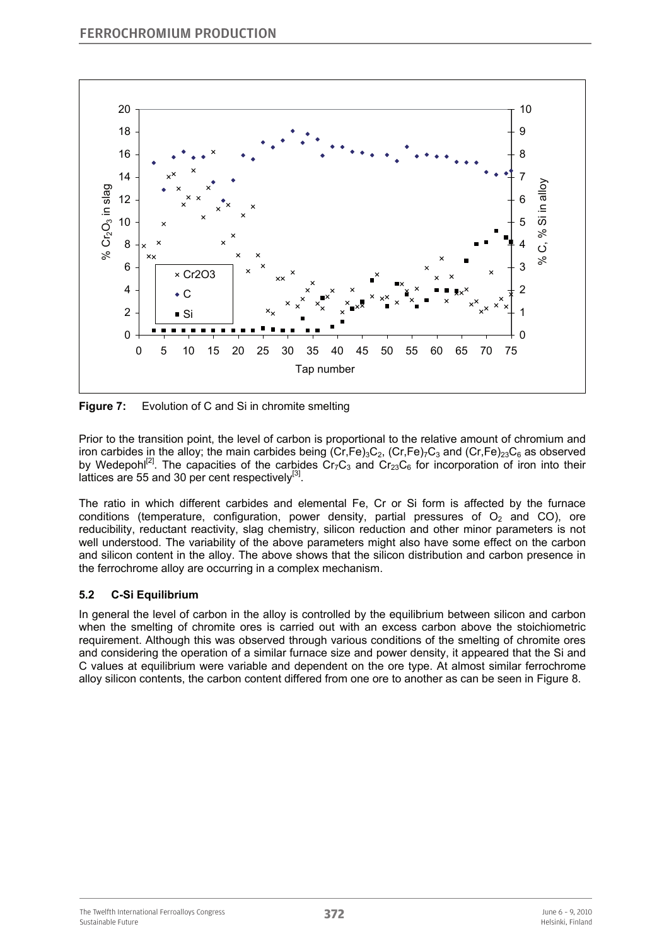

**Figure 7:** Evolution of C and Si in chromite smelting

Prior to the transition point, the level of carbon is proportional to the relative amount of chromium and iron carbides in the alloy; the main carbides being  $(Cr,Fe)_{3}C_{2}$ ,  $(Cr,Fe)_{7}C_{3}$  and  $(Cr,Fe)_{23}C_{6}$  as observed by Wedepohl<sup>[2]</sup>. The capacities of the carbides  $Cr_7C_3$  and  $Cr_2_3C_6$  for incorporation of iron into their lattices are 55 and 30 per cent respectively $^{[3]}$ .

The ratio in which different carbides and elemental Fe, Cr or Si form is affected by the furnace conditions (temperature, configuration, power density, partial pressures of  $O<sub>2</sub>$  and CO), ore reducibility, reductant reactivity, slag chemistry, silicon reduction and other minor parameters is not well understood. The variability of the above parameters might also have some effect on the carbon and silicon content in the alloy. The above shows that the silicon distribution and carbon presence in the ferrochrome alloy are occurring in a complex mechanism.

### **5.2 C-Si Equilibrium**

In general the level of carbon in the alloy is controlled by the equilibrium between silicon and carbon when the smelting of chromite ores is carried out with an excess carbon above the stoichiometric requirement. Although this was observed through various conditions of the smelting of chromite ores and considering the operation of a similar furnace size and power density, it appeared that the Si and C values at equilibrium were variable and dependent on the ore type. At almost similar ferrochrome alloy silicon contents, the carbon content differed from one ore to another as can be seen in Figure 8.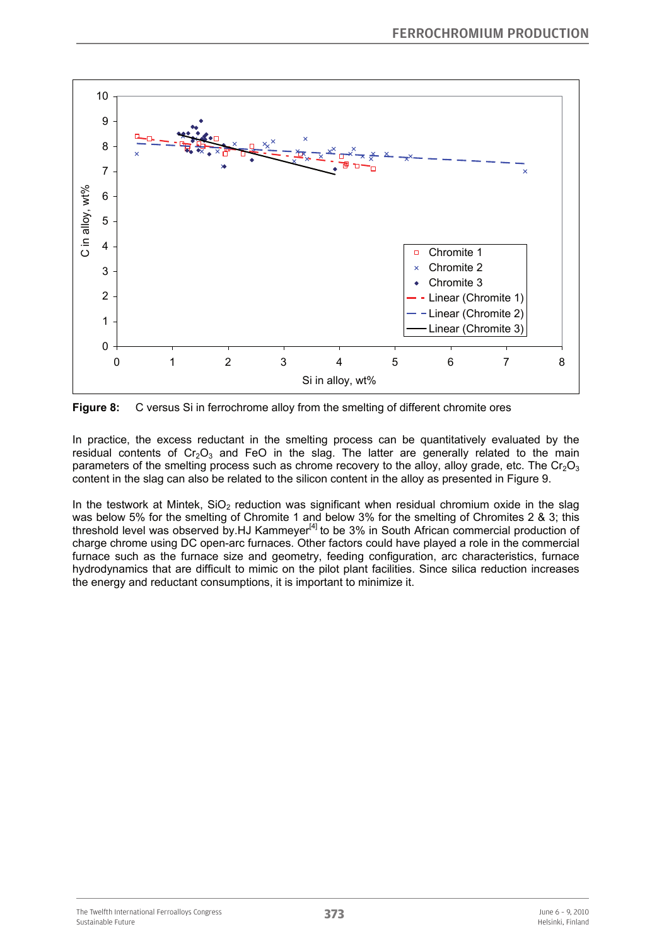

**Figure 8:** C versus Si in ferrochrome alloy from the smelting of different chromite ores

In practice, the excess reductant in the smelting process can be quantitatively evaluated by the residual contents of  $Cr_2O_3$  and FeO in the slag. The latter are generally related to the main parameters of the smelting process such as chrome recovery to the alloy, alloy grade, etc. The  $Cr_2O_3$ content in the slag can also be related to the silicon content in the alloy as presented in Figure 9.

In the testwork at Mintek,  $SiO<sub>2</sub>$  reduction was significant when residual chromium oxide in the slag was below 5% for the smelting of Chromite 1 and below 3% for the smelting of Chromites 2 & 3; this threshold level was observed by.HJ Kammeyer<sup>[4]</sup> to be  $3\%$  in South African commercial production of charge chrome using DC open-arc furnaces. Other factors could have played a role in the commercial furnace such as the furnace size and geometry, feeding configuration, arc characteristics, furnace hydrodynamics that are difficult to mimic on the pilot plant facilities. Since silica reduction increases the energy and reductant consumptions, it is important to minimize it.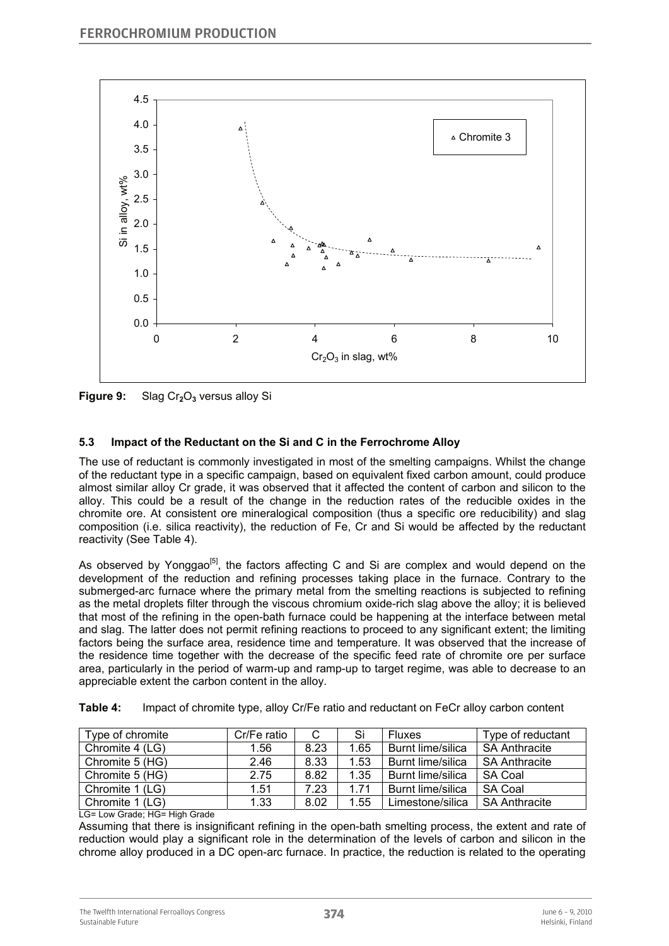

**Figure 9:** Slag Cr<sub>2</sub>O<sub>3</sub> versus alloy Si

### **5.3 Impact of the Reductant on the Si and C in the Ferrochrome Alloy**

The use of reductant is commonly investigated in most of the smelting campaigns. Whilst the change of the reductant type in a specific campaign, based on equivalent fixed carbon amount, could produce almost similar alloy Cr grade, it was observed that it affected the content of carbon and silicon to the alloy. This could be a result of the change in the reduction rates of the reducible oxides in the chromite ore. At consistent ore mineralogical composition (thus a specific ore reducibility) and slag composition (i.e. silica reactivity), the reduction of Fe, Cr and Si would be affected by the reductant reactivity (See Table 4).

As observed by Yonggao<sup>[5]</sup>, the factors affecting C and Si are complex and would depend on the development of the reduction and refining processes taking place in the furnace. Contrary to the submerged-arc furnace where the primary metal from the smelting reactions is subjected to refining as the metal droplets filter through the viscous chromium oxide-rich slag above the alloy; it is believed that most of the refining in the open-bath furnace could be happening at the interface between metal and slag. The latter does not permit refining reactions to proceed to any significant extent; the limiting factors being the surface area, residence time and temperature. It was observed that the increase of the residence time together with the decrease of the specific feed rate of chromite ore per surface area, particularly in the period of warm-up and ramp-up to target regime, was able to decrease to an appreciable extent the carbon content in the alloy.

| Table 4: |  | Impact of chromite type, alloy Cr/Fe ratio and reductant on FeCr alloy carbon content |  |
|----------|--|---------------------------------------------------------------------------------------|--|
|----------|--|---------------------------------------------------------------------------------------|--|

| Type of chromite | Cr/Fe ratio |      | Si   | <b>Fluxes</b>            | Type of reductant    |
|------------------|-------------|------|------|--------------------------|----------------------|
| Chromite 4 (LG)  | 1.56        | 8.23 | 1.65 | Burnt lime/silica        | <b>SA Anthracite</b> |
| Chromite 5 (HG)  | 2.46        | 8.33 | 1.53 | <b>Burnt lime/silica</b> | <b>SA Anthracite</b> |
| Chromite 5 (HG)  | 2.75        | 8.82 | 1.35 | Burnt lime/silica        | <b>SA Coal</b>       |
| Chromite 1 (LG)  | 1.51        | 7.23 | 1.71 | Burnt lime/silica        | <b>SA Coal</b>       |
| Chromite 1 (LG)  | 1.33        | 8.02 | .55  | Limestone/silica         | <b>SA Anthracite</b> |

LG= Low Grade; HG= High Grade

Assuming that there is insignificant refining in the open-bath smelting process, the extent and rate of reduction would play a significant role in the determination of the levels of carbon and silicon in the chrome alloy produced in a DC open-arc furnace. In practice, the reduction is related to the operating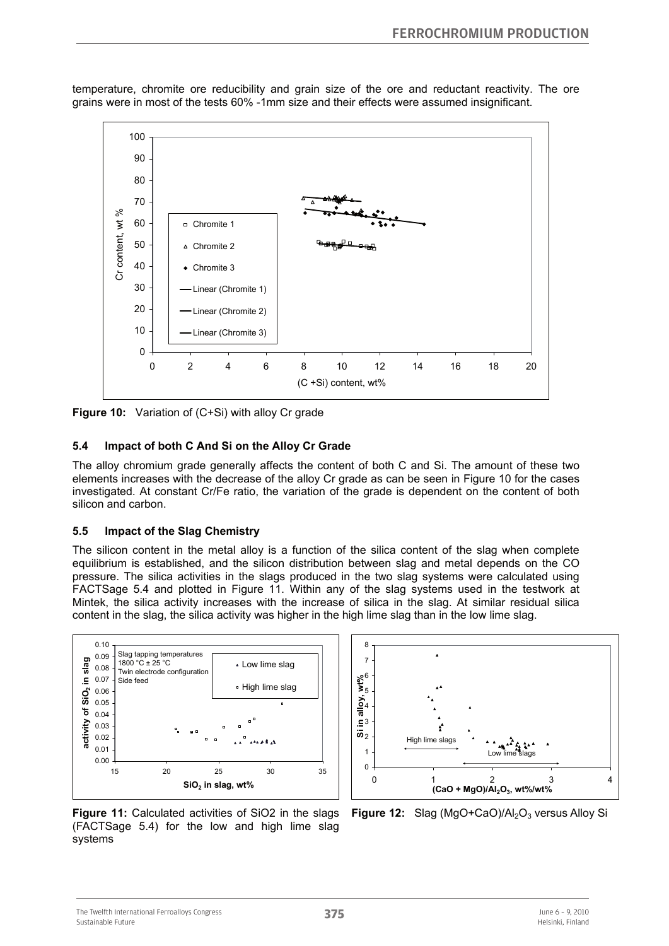

temperature, chromite ore reducibility and grain size of the ore and reductant reactivity. The ore grains were in most of the tests 60% -1mm size and their effects were assumed insignificant.

**Figure 10:** Variation of (C+Si) with alloy Cr grade

#### **5.4 Impact of both C And Si on the Alloy Cr Grade**

The alloy chromium grade generally affects the content of both C and Si. The amount of these two elements increases with the decrease of the alloy Cr grade as can be seen in Figure 10 for the cases investigated. At constant Cr/Fe ratio, the variation of the grade is dependent on the content of both silicon and carbon.

#### **5.5 Impact of the Slag Chemistry**

The silicon content in the metal alloy is a function of the silica content of the slag when complete equilibrium is established, and the silicon distribution between slag and metal depends on the CO pressure. The silica activities in the slags produced in the two slag systems were calculated using FACTSage 5.4 and plotted in Figure 11. Within any of the slag systems used in the testwork at Mintek, the silica activity increases with the increase of silica in the slag. At similar residual silica content in the slag, the silica activity was higher in the high lime slag than in the low lime slag.





**Figure 11:** Calculated activities of SiO2 in the slags (FACTSage 5.4) for the low and high lime slag systems